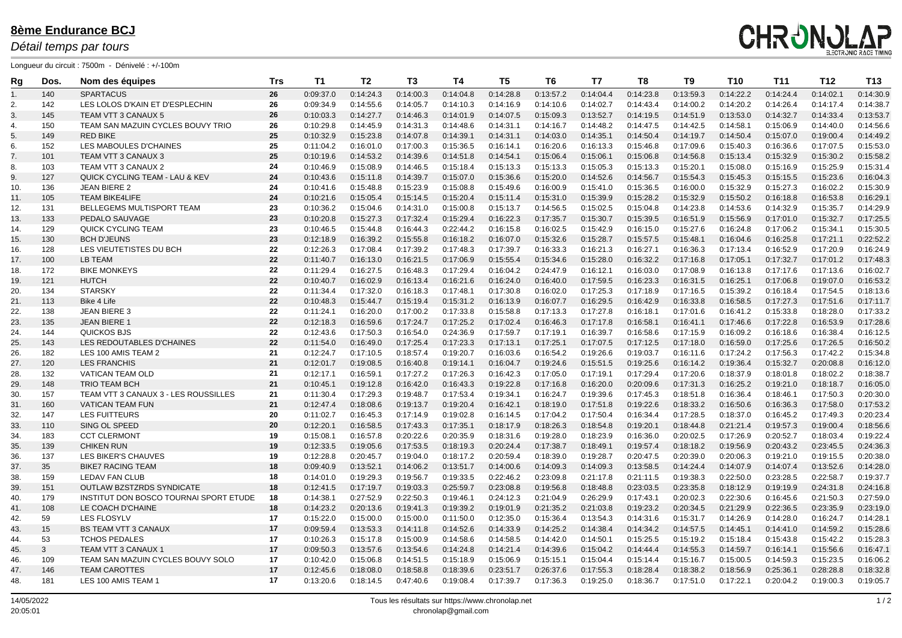| Rg  | Dos.           | Nom des équipes                           | <b>Trs</b> | <b>T1</b> | T <sub>2</sub> | T3        | <b>T4</b> | T5        | T <sub>6</sub> | T7        | T <sub>8</sub> | T <sub>9</sub> | <b>T10</b> | <b>T11</b> | <b>T12</b> | <b>T13</b> |
|-----|----------------|-------------------------------------------|------------|-----------|----------------|-----------|-----------|-----------|----------------|-----------|----------------|----------------|------------|------------|------------|------------|
| 1.  | 140            | <b>SPARTACUS</b>                          | 26         | 0:09:37.0 | 0:14:24.3      | 0:14:00.3 | 0:14:04.8 | 0:14:28.8 | 0:13:57.2      | 0:14:04.4 | 0:14:23.8      | 0:13:59.3      | 0:14:22.2  | 0:14:24.4  | 0:14:02.1  | 0:14:30.9  |
| 2.  | 142            | LES LOLOS D'KAIN ET D'ESPLECHIN           | 26         | 0:09:34.9 | 0:14:55.6      | 0:14:05.7 | 0:14:10.3 | 0:14:16.9 | 0:14:10.6      | 0:14:02.7 | 0:14:43.4      | 0:14:00.2      | 0:14:20.2  | 0:14:26.4  | 0:14:17.4  | 0:14:38.7  |
| 3.  | 145            | <b>TEAM VTT 3 CANAUX 5</b>                | 26         | 0:10:03.3 | 0:14:27.7      | 0:14:46.3 | 0:14:01.9 | 0:14:07.5 | 0:15:09.3      | 0:13:52.7 | 0:14:19.5      | 0:14:51.9      | 0:13:53.0  | 0:14:32.7  | 0:14:33.4  | 0:13:53.7  |
| 4.  | 150            | TEAM SAN MAZUIN CYCLES BOUVY TRIO         | 26         | 0:10:29.8 | 0:14:45.9      | 0:14:31.3 | 0:14:48.6 | 0:14:31.1 | 0:14:16.7      | 0:14:48.2 | 0:14:47.5      | 0:14:42.5      | 0:14:58.1  | 0:15:06.9  | 0:14:40.0  | 0:14:56.6  |
| 5.  | 149            | <b>RED BIKE</b>                           | 25         | 0:10:32.9 | 0:15:23.8      | 0:14:07.8 | 0:14:39.1 | 0:14:31.1 | 0:14:03.0      | 0:14:35.1 | 0:14:50.4      | 0:14:19.7      | 0:14:50.4  | 0:15:07.0  | 0:19:00.4  | 0:14:49.2  |
| 6.  | 152            | LES MABOULES D'CHAINES                    | 25         | 0:11:04.2 | 0:16:01.0      | 0:17:00.3 | 0:15:36.5 | 0:16:14.  | 0:16:20.6      | 0:16:13.3 | 0:15:46.8      | 0:17:09.6      | 0:15:40.3  | 0:16:36.6  | 0:17:07.5  | 0:15:53.0  |
| 7.  | 101            | TEAM VTT 3 CANAUX 3                       | 25         | 0:10:19.6 | 0:14:53.2      | 0:14:39.6 | 0:14:51.8 | 0:14:54.1 | 0:15:06.4      | 0:15:06.1 | 0:15:06.8      | 0:14:56.8      | 0:15:13.4  | 0:15:32.9  | 0:15:30.2  | 0:15:58.2  |
| 8.  | 103            | TEAM VTT 3 CANAUX 2                       | 24         | 0:10:46.9 | 0:15:08.9      | 0:14:46.5 | 0:15:18.4 | 0:15:13.3 | 0:15:13.3      | 0:15:05.3 | 0:15:13.3      | 0:15:20.1      | 0:15:08.0  | 0:15:16.9  | 0:15:25.9  | 0:15:31.4  |
| 9.  | 127            | <b>QUICK CYCLING TEAM - LAU &amp; KEV</b> | 24         | 0:10:43.6 | 0:15:11.8      | 0:14:39.7 | 0:15:07.0 | 0:15:36.6 | 0:15:20.0      | 0:14:52.6 | 0:14:56.7      | 0:15:54.3      | 0:15:45.3  | 0:15:15.5  | 0:15:23.6  | 0:16:04.3  |
| 10. | 136            | <b>JEAN BIERE 2</b>                       | 24         | 0:10:41.6 | 0:15:48.8      | 0:15:23.9 | 0:15:08.8 | 0:15:49.6 | 0:16:00.9      | 0:15:41.0 | 0:15:36.5      | 0:16:00.0      | 0:15:32.9  | 0:15:27.3  | 0:16:02.2  | 0:15:30.9  |
| 11. | 105            | <b>TEAM BIKE4LIFE</b>                     | 24         | 0:10:21.6 | 0:15:05.4      | 0:15:14.5 | 0:15:20.4 | 0:15:11.4 | 0:15:31.0      | 0:15:39.9 | 0:15:28.2      | 0:15:32.9      | 0:15:50.2  | 0:16:18.8  | 0:16:53.8  | 0:16:29.7  |
| 12. | 131            | BELLEGEMS MULTISPORT TEAM                 | 23         | 0:10:36.2 | 0:15:04.6      | 0:14:31.0 | 0:15:00.8 | 0:15:13.7 | 0:14:56.5      | 0:15:02.5 | 0:15:04.8      | 0:14:23.8      | 0:14:53.6  | 0:14:32.9  | 0:15:35.7  | 0:14:29.9  |
| 13. | 133            | PEDALO SAUVAGE                            | 23         | 0:10:20.8 | 0:15:27.3      | 0:17:32.4 | 0:15:29.4 | 0:16:22.3 | 0:17:35.7      | 0:15:30.7 | 0:15:39.5      | 0:16:51.9      | 0:15:56.9  | 0:17:01.0  | 0:15:32.7  | 0:17:25.5  |
| 14. | 129            | <b>QUICK CYCLING TEAM</b>                 | 23         | 0:10:46.5 | 0:15:44.8      | 0:16:44.3 | 0:22:44.2 | 0:16:15.8 | 0:16:02.5      | 0:15:42.9 | 0:16:15.0      | 0:15:27.6      | 0:16:24.8  | 0:17:06.2  | 0:15:34.1  | 0:15:30.5  |
| 15. | 130            | <b>BCH D'JEUNS</b>                        | 23         | 0:12:18.9 | 0:16:39.2      | 0:15:55.8 | 0:16:18.2 | 0:16:07.0 | 0:15:32.6      | 0:15:28.7 | 0:15:57.5      | 0:15:48.1      | 0:16:04.6  | 0:16:25.8  | 0:17:21.1  | 0:22:52.2  |
| 16. | 128            | LES VIEUTETISTES DU BCH                   | 22         | 0:12:26.3 | 0:17:08.4      | 0:17:39.2 | 0:17:48.3 | 0:17:39.7 | 0:16:33.3      | 0:16:21.3 | 0:16:27.1      | 0:16:36.3      | 0:17:13.4  | 0:16:52.9  | 0:17:20.9  | 0:16:24.9  |
| 17. | 100            | LB TEAM                                   | 22         | 0:11:40.7 | 0:16:13.0      | 0:16:21.5 | 0:17:06.9 | 0:15:55.4 | 0:15:34.6      | 0:15:28.0 | 0:16:32.2      | 0:17:16.8      | 0:17:05.1  | 0:17:32.7  | 0:17:01.2  | 0:17:48.3  |
| 18. | 172            | <b>BIKE MONKEYS</b>                       | 22         | 0:11:29.4 | 0:16:27.5      | 0:16:48.3 | 0:17:29.4 | 0:16:04.2 | 0:24:47.9      | 0:16:12.1 | 0:16:03.0      | 0:17:08.9      | 0:16:13.8  | 0:17:17.6  | 0:17:13.6  | 0:16:02.7  |
| 19. | 121            | <b>HUTCH</b>                              | 22         | 0:10:40.7 | 0:16:02.9      | 0:16:13.4 | 0:16:21.6 | 0:16:24.0 | 0:16:40.0      | 0:17:59.5 | 0:16:23.3      | 0:16:31.5      | 0:16:25.1  | 0:17:06.8  | 0:19:07.0  | 0:16:53.2  |
| 20. | 134            | <b>STARSKY</b>                            | 22         | 0:11:34.4 | 0:17:32.0      | 0:16:18.3 | 0:17:48.1 | 0:17:30.8 | 0:16:02.0      | 0:17:25.3 | 0:17:18.9      | 0:17:16.5      | 0:15:39.2  | 0:16:18.4  | 0:17:54.5  | 0:18:13.6  |
| 21. | 113            | Bike 4 Life                               | 22         | 0:10:48.3 | 0:15:44.7      | 0:15:19.4 | 0:15:31.2 | 0:16:13.9 | 0:16:07.7      | 0:16:29.5 | 0:16:42.9      | 0:16:33.8      | 0:16:58.5  | 0:17:27.3  | 0:17:51.6  | 0:17:11.7  |
| 22. | 138            | <b>JEAN BIERE 3</b>                       | 22         | 0:11:24.1 | 0:16:20.0      | 0:17:00.2 | 0:17:33.8 | 0:15:58.8 | 0:17:13.3      | 0:17:27.8 | 0:16:18.1      | 0:17:01.6      | 0:16:41.2  | 0:15:33.8  | 0:18:28.0  | 0:17:33.2  |
| 23. | 135            | <b>JEAN BIERE 1</b>                       | 22         | 0:12:18.3 | 0:16:59.6      | 0:17:24.7 | 0:17:25.2 | 0:17:02.4 | 0:16:46.3      | 0:17:17.8 | 0:16:58.1      | 0:16:41.1      | 0:17:46.6  | 0:17:22.8  | 0:16:53.9  | 0:17:28.6  |
| 24. | 144            | QUICKOS BJS                               | 22         | 0:12:43.6 | 0:17:50.3      | 0:16:54.0 | 0:24:36.9 | 0:17:59.7 | 0:17:19.1      | 0:16:39.7 | 0:16:58.6      | 0:17:15.9      | 0:16:09.2  | 0:16:18.6  | 0:16:38.4  | 0:16:12.5  |
| 25. | 143            | LES REDOUTABLES D'CHAINES                 | 22         | 0:11:54.0 | 0:16:49.0      | 0:17:25.4 | 0:17:23.3 | 0:17:13.1 | 0:17:25.1      | 0:17:07.5 | 0:17:12.5      | 0:17:18.0      | 0:16:59.0  | 0:17:25.6  | 0:17:26.5  | 0:16:50.2  |
| 26. | 182            | LES 100 AMIS TEAM 2                       | 21         | 0:12:24.7 | 0:17:10.5      | 0:18:57.4 | 0:19:20.7 | 0:16:03.6 | 0:16:54.2      | 0:19:26.6 | 0:19:03.7      | 0:16:11.6      | 0:17:24.2  | 0:17:56.3  | 0:17:42.2  | 0:15:34.8  |
| 27. | 120            | <b>LES FRANCHIS</b>                       | 21         | 0:12:01.7 | 0:19:08.5      | 0:16:40.8 | 0:19:14.1 | 0:16:04.7 | 0:19:24.6      | 0:15:51.5 | 0:19:25.6      | 0:16:14.2      | 0:19:36.4  | 0:15:32.7  | 0:20:08.8  | 0:16:12.0  |
| 28. | 132            | <b>VATICAN TEAM OLD</b>                   | 21         | 0:12:17.1 | 0:16:59.7      | 0:17:27.2 | 0:17:26.3 | 0:16:42.3 | 0:17:05.0      | 0:17:19.1 | 0:17:29.4      | 0:17:20.6      | 0:18:37.9  | 0:18:01.8  | 0:18:02.2  | 0:18:38.7  |
| 29. | 148            | TRIO TEAM BCH                             | 21         | 0:10:45.1 | 0:19:12.8      | 0:16:42.0 | 0:16:43.3 | 0:19:22.8 | 0:17:16.8      | 0:16:20.0 | 0:20:09.6      | 0:17:31.3      | 0:16:25.2  | 0:19:21.0  | 0:18:18.7  | 0:16:05.0  |
| 30. | 157            | TEAM VTT 3 CANAUX 3 - LES ROUSSILLES      | 21         | 0:11:30.4 | 0:17:29.3      | 0:19:48.7 | 0:17:53.4 | 0:19:34.1 | 0:16:24.7      | 0:19:39.6 | 0:17:45.3      | 0:18:51.8      | 0:16:36.4  | 0:18:46.1  | 0:17:50.3  | 0:20:30.0  |
| 31. | 160            | <b>VATICAN TEAM FUN</b>                   | 21         | 0:12:47.4 | 0:18:08.6      | 0:19:13.7 | 0:19:20.4 | 0:16:42.1 | 0:18:19.0      | 0:17:51.8 | 0:19:22.6      | 0:18:33.2      | 0:16:50.6  | 0:16:36.3  | 0:17:58.0  | 0:17:53.2  |
| 32. | 147            | LES FUITTEURS                             | 20         | 0:11:02.7 | 0:16:45.3      | 0:17:14.9 | 0:19:02.8 | 0:16:14.5 | 0:17:04.2      | 0:17:50.4 | 0:16:34.4      | 0:17:28.5      | 0:18:37.0  | 0:16:45.2  | 0:17:49.3  | 0:20:23.4  |
| 33. | 110            | SING OL SPEED                             | 20         | 0:12:20.1 | 0:16:58.5      | 0:17:43.3 | 0:17:35.1 | 0:18:17.9 | 0:18:26.3      | 0:18:54.8 | 0:19:20.1      | 0:18:44.8      | 0:21:21.4  | 0:19:57.3  | 0:19:00.4  | 0:18:56.6  |
| 34. | 183            | <b>CCT CLERMONT</b>                       | 19         | 0:15:08.1 | 0:16:57.8      | 0:20:22.6 | 0:20:35.9 | 0:18:31.6 | 0:19:28.0      | 0:18:23.9 | 0:16:36.0      | 0:20:02.5      | 0:17:26.9  | 0:20:52.7  | 0:18:03.4  | 0:19:22.4  |
| 35. | 139            | <b>CHIKEN RUN</b>                         | 19         | 0:12:33.5 | 0:19:05.6      | 0:17:53.5 | 0:18:19.3 | 0:20:24.4 | 0:17:38.7      | 0:18:49.1 | 0:19:57.4      | 0:18:18.2      | 0:19:56.9  | 0:20:43.2  | 0:23:45.5  | 0:24:36.3  |
| 36. | 137            | LES BIKER'S CHAUVES                       | 19         | 0:12:28.8 | 0:20:45.7      | 0:19:04.0 | 0:18:17.2 | 0:20:59.4 | 0:18:39.0      | 0:19:28.7 | 0:20:47.5      | 0:20:39.0      | 0:20:06.3  | 0:19:21.0  | 0:19:15.5  | 0:20:38.0  |
| 37. | 35             | <b>BIKE7 RACING TEAM</b>                  | 18         | 0:09:40.9 | 0:13:52.1      | 0:14:06.2 | 0:13:51.7 | 0:14:00.6 | 0:14:09.3      | 0:14:09.3 | 0:13:58.5      | 0:14:24.4      | 0:14:07.9  | 0:14:07.4  | 0:13:52.6  | 0:14:28.0  |
| 38. | 159            | LEDAV FAN CLUB                            | 18         | 0:14:01.0 | 0:19:29.3      | 0:19:56.7 | 0:19:33.5 | 0:22:46.2 | 0:23:09.8      | 0:21:17.8 | 0:21:11.5      | 0:19:38.3      | 0:22:50.0  | 0:23:28.5  | 0:22:58.7  | 0:19:37.7  |
| 39. | 151            | OUTLAW BZSTZRDS SYNDICATE                 | 18         | 0:12:41.5 | 0:17:19.7      | 0:19:03.3 | 0:25:59.7 | 0:23:08.8 | 0:19:56.8      | 0:18:48.8 | 0:23:03.5      | 0:23:35.8      | 0:18:12.9  | 0:19:19.9  | 0:24:31.8  | 0:24:16.8  |
| 40. | 179            | INSTITUT DON BOSCO TOURNAI SPORT ETUDE    | 18         | 0:14:38.1 | 0:27:52.9      | 0:22:50.3 | 0:19:46.1 | 0:24:12.3 | 0:21:04.9      | 0:26:29.9 | 0:17:43.1      | 0:20:02.3      | 0:22:30.6  | 0:16:45.6  | 0:21:50.3  | 0:27:59.0  |
| 41. | 108            | LE COACH D'CHAINE                         | 18         | 0:14:23.2 | 0:20:13.6      | 0:19:41.3 | 0:19:39.2 | 0:19:01.9 | 0:21:35.2      | 0:21:03.8 | 0:19:23.2      | 0:20:34.5      | 0:21:29.9  | 0:22:36.5  | 0:23:35.9  | 0:23:19.0  |
| 42. | 59             | <b>LES FLOSYLV</b>                        | 17         | 0:15:22.0 | 0:15:00.0      | 0:15:00.0 | 0:11:50.0 | 0:12:35.0 | 0:15:36.4      | 0:13:54.3 | 0:14:31.6      | 0:15:31.7      | 0:14:26.9  | 0:14:28.0  | 0:16:24.7  | 0:14:28.1  |
| 43. | 15             | <b>BS TEAM VTT 3 CANAUX</b>               | 17         | 0:09:59.4 | 0:13:53.3      | 0:14:11.8 | 0:14:52.6 | 0:14:33.9 | 0:14:25.2      | 0:14:38.4 | 0:14:34.2      | 0:14:57.5      | 0:14:45.1  | 0:14:41.0  | 0:14:59.2  | 0:15:28.6  |
| 44. | 53             | <b>TCHOS PEDALES</b>                      | 17         | 0:10:26.3 | 0:15:17.8      | 0:15:00.9 | 0:14:58.6 | 0:14:58.5 | 0.14:42.0      | 0:14:50.1 | 0:15:25.5      | 0:15:19.2      | 0:15:18.4  | 0:15:43.8  | 0:15:42.2  | 0:15:28.3  |
| 45. | 3 <sup>1</sup> | TEAM VTT 3 CANAUX 1                       | 17         | 0:09:50.3 | 0:13:57.6      | 0:13:54.6 | 0:14:24.8 | 0:14:21.4 | 0:14:39.6      | 0:15:04.2 | 0.14.44.4      | 0:14:55.3      | 0:14:59.7  | 0:16:14.1  | 0:15:56.6  | 0:16:47.1  |
| 46. | 109            | TEAM SAN MAZUIN CYCLES BOUVY SOLO         | 17         | 0:10:42.0 | 0:15:06.8      | 0:14:51.5 | 0:15:18.9 | 0:15:06.9 | 0:15:15.1      | 0:15:04.4 | 0:15:14.4      | 0:15:16.7      | 0:15:00.5  | 0:14:59.3  | 0:15:23.5  | 0:16:06.2  |
| 47. | 146            | <b>TEAM CAROTTES</b>                      | 17         | 0:12:45.6 | 0:18:08.0      | 0:18:58.8 | 0:18:39.6 | 0:23:51.7 | 0:26:37.6      | 0:17:55.3 | 0:18:28.4      | 0:18:38.2      | 0:18:56.9  | 0:25:36.1  | 0:28:28.8  | 0:18:32.8  |
| 48. | 181            | LES 100 AMIS TEAM 1                       | 17         | 0:13:20.6 | 0:18:14.5      | 0:47:40.6 | 0:19:08.4 | 0:17:39.7 | 0:17:36.3      | 0:19:25.0 | 0:18:36.7      | 0:17:51.0      | 0:17:22.1  | 0:20:04.2  | 0:19:00.3  | 0:19:05.7  |

#### **8ème Endurance BCJ**

#### *Détail temps par tours*

Longueur du circuit : 7500m - Dénivelé : +/-100m

# **CHRUNULAP**